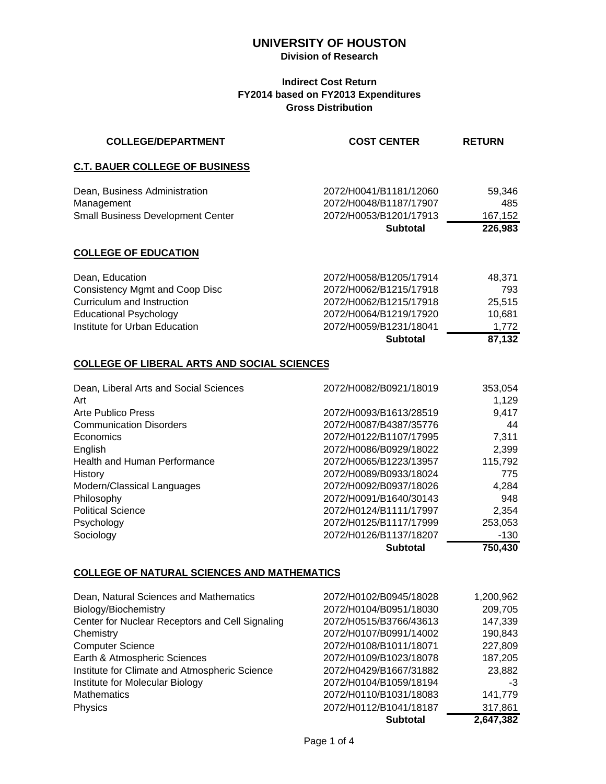## **Division of Research**

## **Indirect Cost Return FY2014 based on FY2013 Expenditures Gross Distribution**

| <b>COLLEGE/DEPARTMENT</b>                                                               | <b>COST CENTER</b>                                                         | <b>RETURN</b>            |
|-----------------------------------------------------------------------------------------|----------------------------------------------------------------------------|--------------------------|
| <b>C.T. BAUER COLLEGE OF BUSINESS</b>                                                   |                                                                            |                          |
| Dean, Business Administration<br>Management<br><b>Small Business Development Center</b> | 2072/H0041/B1181/12060<br>2072/H0048/B1187/17907<br>2072/H0053/B1201/17913 | 59,346<br>485<br>167,152 |
|                                                                                         | <b>Subtotal</b>                                                            | 226,983                  |
| <b>COLLEGE OF EDUCATION</b>                                                             |                                                                            |                          |
| Dean, Education                                                                         | 2072/H0058/B1205/17914                                                     | 48,371                   |
| Consistency Mgmt and Coop Disc                                                          | 2072/H0062/B1215/17918                                                     | 793                      |
| Curriculum and Instruction                                                              | 2072/H0062/B1215/17918                                                     | 25,515                   |
| <b>Educational Psychology</b>                                                           | 2072/H0064/B1219/17920                                                     | 10,681                   |
| Institute for Urban Education                                                           | 2072/H0059/B1231/18041                                                     | 1,772                    |
|                                                                                         | <b>Subtotal</b>                                                            | 87,132                   |
| COLLEGE OF LIBERAL ARTS AND SOCIAL SCIENCES                                             |                                                                            |                          |
| Dean, Liberal Arts and Social Sciences                                                  | 2072/H0082/B0921/18019                                                     | 353,054                  |

| Art                                 |                        | 1,129   |
|-------------------------------------|------------------------|---------|
| Arte Publico Press                  | 2072/H0093/B1613/28519 | 9,417   |
| <b>Communication Disorders</b>      | 2072/H0087/B4387/35776 | 44      |
| Economics                           | 2072/H0122/B1107/17995 | 7,311   |
| English                             | 2072/H0086/B0929/18022 | 2,399   |
| <b>Health and Human Performance</b> | 2072/H0065/B1223/13957 | 115,792 |
| History                             | 2072/H0089/B0933/18024 | 775     |
| Modern/Classical Languages          | 2072/H0092/B0937/18026 | 4,284   |
| Philosophy                          | 2072/H0091/B1640/30143 | 948     |
| <b>Political Science</b>            | 2072/H0124/B1111/17997 | 2,354   |
| Psychology                          | 2072/H0125/B1117/17999 | 253,053 |
| Sociology                           | 2072/H0126/B1137/18207 | $-130$  |
|                                     | <b>Subtotal</b>        | 750,430 |

## **COLLEGE OF NATURAL SCIENCES AND MATHEMATICS**

|                                                 | <b>Subtotal</b>        | 2,647,382 |
|-------------------------------------------------|------------------------|-----------|
| Physics                                         | 2072/H0112/B1041/18187 | 317,861   |
| <b>Mathematics</b>                              | 2072/H0110/B1031/18083 | 141,779   |
| Institute for Molecular Biology                 | 2072/H0104/B1059/18194 | -3        |
| Institute for Climate and Atmospheric Science   | 2072/H0429/B1667/31882 | 23,882    |
| Earth & Atmospheric Sciences                    | 2072/H0109/B1023/18078 | 187,205   |
| <b>Computer Science</b>                         | 2072/H0108/B1011/18071 | 227,809   |
| Chemistry                                       | 2072/H0107/B0991/14002 | 190,843   |
| Center for Nuclear Receptors and Cell Signaling | 2072/H0515/B3766/43613 | 147,339   |
| Biology/Biochemistry                            | 2072/H0104/B0951/18030 | 209,705   |
| Dean, Natural Sciences and Mathematics          | 2072/H0102/B0945/18028 | 1,200,962 |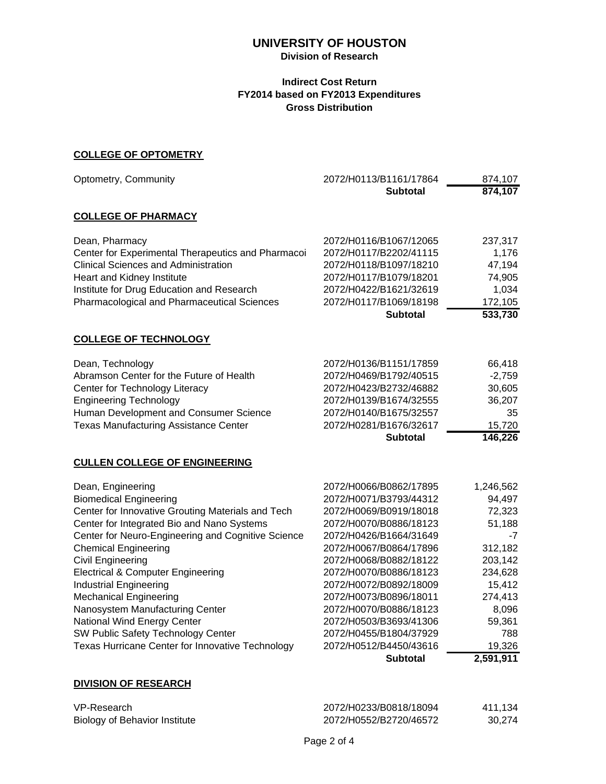## **Division of Research**

## **Indirect Cost Return FY2014 based on FY2013 Expenditures Gross Distribution**

### **COLLEGE OF OPTOMETRY**

| Optometry, Community                               | 2072/H0113/B1161/17864 | 874,107   |
|----------------------------------------------------|------------------------|-----------|
|                                                    | <b>Subtotal</b>        | 874,107   |
| <b>COLLEGE OF PHARMACY</b>                         |                        |           |
| Dean, Pharmacy                                     | 2072/H0116/B1067/12065 | 237,317   |
| Center for Experimental Therapeutics and Pharmacoi | 2072/H0117/B2202/41115 | 1,176     |
| <b>Clinical Sciences and Administration</b>        | 2072/H0118/B1097/18210 | 47,194    |
| Heart and Kidney Institute                         | 2072/H0117/B1079/18201 | 74,905    |
| Institute for Drug Education and Research          | 2072/H0422/B1621/32619 | 1,034     |
| Pharmacological and Pharmaceutical Sciences        | 2072/H0117/B1069/18198 | 172,105   |
|                                                    | <b>Subtotal</b>        | 533,730   |
| <b>COLLEGE OF TECHNOLOGY</b>                       |                        |           |
| Dean, Technology                                   | 2072/H0136/B1151/17859 | 66,418    |
| Abramson Center for the Future of Health           | 2072/H0469/B1792/40515 | $-2,759$  |
| Center for Technology Literacy                     | 2072/H0423/B2732/46882 | 30,605    |
| <b>Engineering Technology</b>                      | 2072/H0139/B1674/32555 | 36,207    |
| Human Development and Consumer Science             | 2072/H0140/B1675/32557 | 35        |
| <b>Texas Manufacturing Assistance Center</b>       | 2072/H0281/B1676/32617 | 15,720    |
|                                                    | <b>Subtotal</b>        | 146,226   |
| <b>CULLEN COLLEGE OF ENGINEERING</b>               |                        |           |
| Dean, Engineering                                  | 2072/H0066/B0862/17895 | 1,246,562 |
| <b>Biomedical Engineering</b>                      | 2072/H0071/B3793/44312 | 94,497    |
| Center for Innovative Grouting Materials and Tech  | 2072/H0069/B0919/18018 | 72,323    |
| Center for Integrated Bio and Nano Systems         | 2072/H0070/B0886/18123 | 51,188    |
| Center for Neuro-Engineering and Cognitive Science | 2072/H0426/B1664/31649 | -7        |
| <b>Chemical Engineering</b>                        | 2072/H0067/B0864/17896 | 312,182   |
| <b>Civil Engineering</b>                           | 2072/H0068/B0882/18122 | 203,142   |
| <b>Electrical &amp; Computer Engineering</b>       | 2072/H0070/B0886/18123 | 234,628   |
| <b>Industrial Engineering</b>                      | 2072/H0072/B0892/18009 | 15,412    |
| <b>Mechanical Engineering</b>                      | 2072/H0073/B0896/18011 | 274,413   |
| Nanosystem Manufacturing Center                    | 2072/H0070/B0886/18123 | 8,096     |
| National Wind Energy Center                        | 2072/H0503/B3693/41306 | 59,361    |
| SW Public Safety Technology Center                 | 2072/H0455/B1804/37929 | 788       |
| Texas Hurricane Center for Innovative Technology   | 2072/H0512/B4450/43616 | 19,326    |
|                                                    | <b>Subtotal</b>        | 2,591,911 |

## **DIVISION OF RESEARCH**

| VP-Research                   | 2072/H0233/B0818/18094 | 411.134 |
|-------------------------------|------------------------|---------|
| Biology of Behavior Institute | 2072/H0552/B2720/46572 | 30.274  |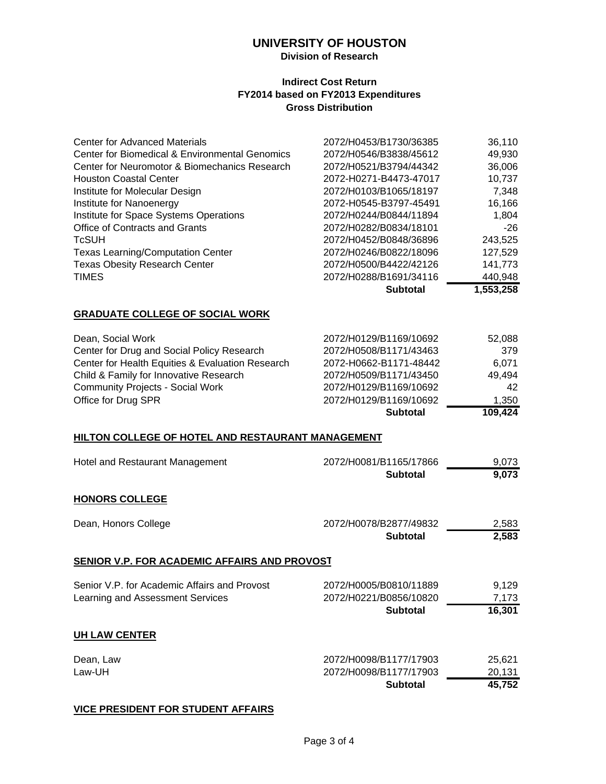## **Division of Research**

#### **Indirect Cost Return FY2014 based on FY2013 Expenditures Gross Distribution**

|                                                | <b>Subtotal</b>        | 1,553,258 |
|------------------------------------------------|------------------------|-----------|
| <b>TIMES</b>                                   | 2072/H0288/B1691/34116 | 440,948   |
| <b>Texas Obesity Research Center</b>           | 2072/H0500/B4422/42126 | 141,773   |
| <b>Texas Learning/Computation Center</b>       | 2072/H0246/B0822/18096 | 127,529   |
| <b>TcSUH</b>                                   | 2072/H0452/B0848/36896 | 243,525   |
| Office of Contracts and Grants                 | 2072/H0282/B0834/18101 | $-26$     |
| Institute for Space Systems Operations         | 2072/H0244/B0844/11894 | 1,804     |
| Institute for Nanoenergy                       | 2072-H0545-B3797-45491 | 16,166    |
| Institute for Molecular Design                 | 2072/H0103/B1065/18197 | 7,348     |
| <b>Houston Coastal Center</b>                  | 2072-H0271-B4473-47017 | 10,737    |
| Center for Neuromotor & Biomechanics Research  | 2072/H0521/B3794/44342 | 36,006    |
| Center for Biomedical & Environmental Genomics | 2072/H0546/B3838/45612 | 49,930    |
| <b>Center for Advanced Materials</b>           | 2072/H0453/B1730/36385 | 36,110    |
|                                                |                        |           |

## **GRADUATE COLLEGE OF SOCIAL WORK**

|                                                  | <b>Subtotal</b>        | 109,424 |
|--------------------------------------------------|------------------------|---------|
| Office for Drug SPR                              | 2072/H0129/B1169/10692 | 1.350   |
| <b>Community Projects - Social Work</b>          | 2072/H0129/B1169/10692 | 42      |
| Child & Family for Innovative Research           | 2072/H0509/B1171/43450 | 49.494  |
| Center for Health Equities & Evaluation Research | 2072-H0662-B1171-48442 | 6.071   |
| Center for Drug and Social Policy Research       | 2072/H0508/B1171/43463 | 379     |
| Dean, Social Work                                | 2072/H0129/B1169/10692 | 52,088  |

#### **HILTON COLLEGE OF HOTEL AND RESTAURANT MANAGEMENT**

| Hotel and Restaurant Management                                                  | 2072/H0081/B1165/17866<br><b>Subtotal</b>                           | 9,073<br>9,073             |
|----------------------------------------------------------------------------------|---------------------------------------------------------------------|----------------------------|
| <b>HONORS COLLEGE</b>                                                            |                                                                     |                            |
| Dean, Honors College                                                             | 2072/H0078/B2877/49832<br><b>Subtotal</b>                           | 2,583<br>2,583             |
| SENIOR V.P. FOR ACADEMIC AFFAIRS AND PROVOST                                     |                                                                     |                            |
| Senior V.P. for Academic Affairs and Provost<br>Learning and Assessment Services | 2072/H0005/B0810/11889<br>2072/H0221/B0856/10820<br><b>Subtotal</b> | 9,129<br>7,173<br>16,301   |
| <b>UH LAW CENTER</b>                                                             |                                                                     |                            |
| Dean, Law<br>Law-UH                                                              | 2072/H0098/B1177/17903<br>2072/H0098/B1177/17903<br><b>Subtotal</b> | 25,621<br>20,131<br>45,752 |

#### **VICE PRESIDENT FOR STUDENT AFFAIRS**